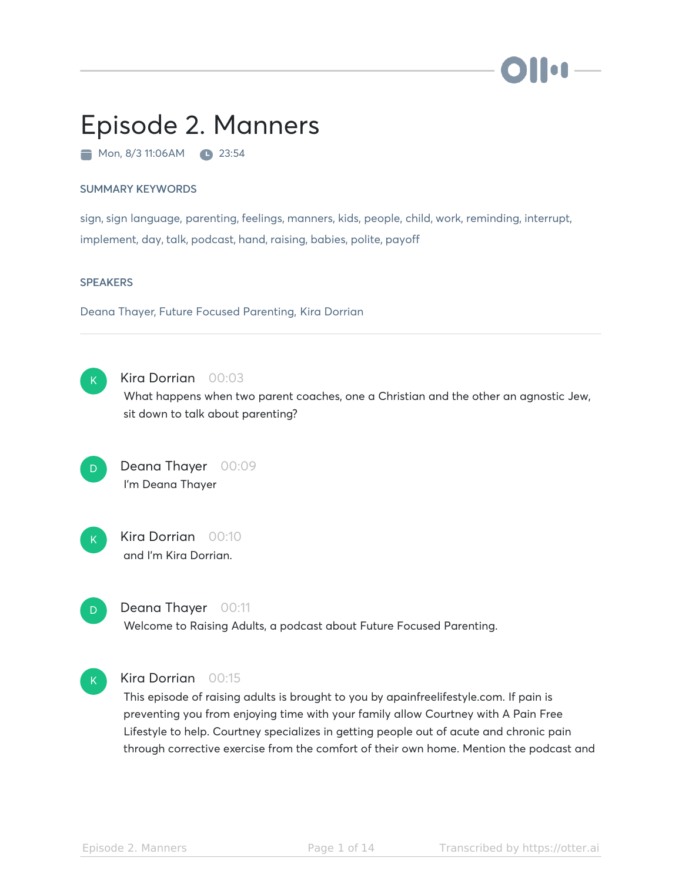# lo A

## Episode 2. Manners

Mon, 8/3 11:06AM 23:54

#### SUMMARY KEYWORDS

sign, sign language, parenting, feelings, manners, kids, people, child, work, reminding, interrupt, implement, day, talk, podcast, hand, raising, babies, polite, payoff

#### **SPEAKERS**

Deana Thayer, Future Focused Parenting, Kira Dorrian



#### Kira Dorrian 00:03

What happens when two parent coaches, one a Christian and the other an agnostic Jew, sit down to talk about parenting?

Deana Thayer 00:09 I'm Deana Thayer D



## Kira Dorrian 00:10 and I'm Kira Dorrian.



#### Deana Thayer 00:11

Welcome to Raising Adults, a podcast about Future Focused Parenting.



#### Kira Dorrian 00:15

This episode of raising adults is brought to you by apainfreelifestyle.com. If pain is preventing you from enjoying time with your family allow Courtney with A Pain Free Lifestyle to help. Courtney specializes in getting people out of acute and chronic pain through corrective exercise from the comfort of their own home. Mention the podcast and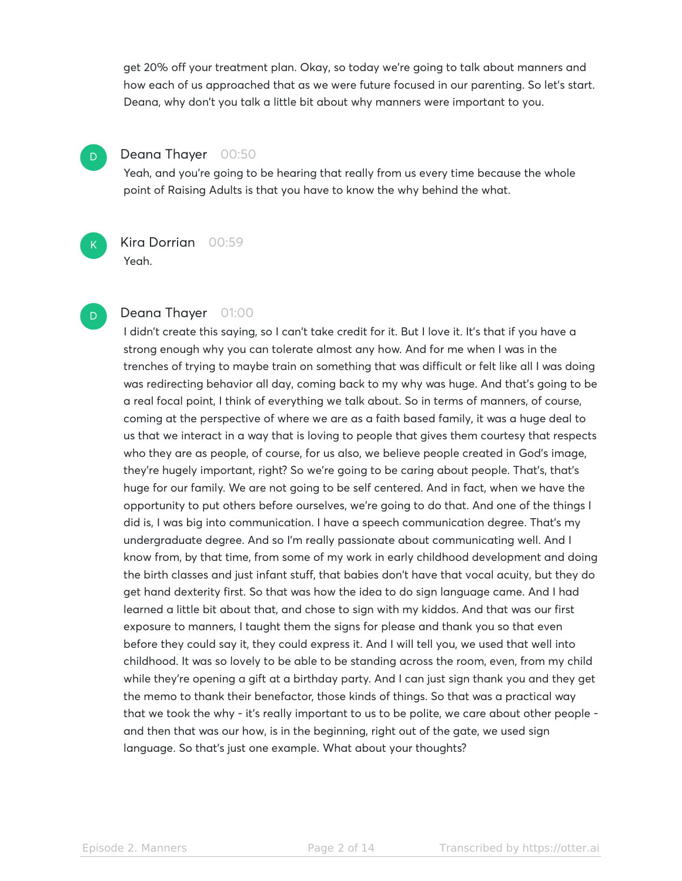get 20% off your treatment plan. Okay, so today we're going to talk about manners and how each of us approached that as we were future focused in our parenting. So let's start. Deana, why don't you talk a little bit about why manners were important to you.

### Deana Thayer 00:50

D

K

D

Yeah, and you're going to be hearing that really from us every time because the whole point of Raising Adults is that you have to know the why behind the what.

Kira Dorrian 00:59 Yeah.

#### Deana Thayer 01:00

I didn't create this saying, so I can't take credit for it. But I love it. It's that if you have a strong enough why you can tolerate almost any how. And for me when I was in the trenches of trying to maybe train on something that was difficult or felt like all I was doing was redirecting behavior all day, coming back to my why was huge. And that's going to be a real focal point, I think of everything we talk about. So in terms of manners, of course, coming at the perspective of where we are as a faith based family, it was a huge deal to us that we interact in a way that is loving to people that gives them courtesy that respects who they are as people, of course, for us also, we believe people created in God's image, they're hugely important, right? So we're going to be caring about people. That's, that's huge for our family. We are not going to be self centered. And in fact, when we have the opportunity to put others before ourselves, we're going to do that. And one of the things I did is, I was big into communication. I have a speech communication degree. That's my undergraduate degree. And so I'm really passionate about communicating well. And I know from, by that time, from some of my work in early childhood development and doing the birth classes and just infant stuff, that babies don't have that vocal acuity, but they do get hand dexterity first. So that was how the idea to do sign language came. And I had learned a little bit about that, and chose to sign with my kiddos. And that was our first exposure to manners, I taught them the signs for please and thank you so that even before they could say it, they could express it. And I will tell you, we used that well into childhood. It was so lovely to be able to be standing across the room, even, from my child while they're opening a gift at a birthday party. And I can just sign thank you and they get the memo to thank their benefactor, those kinds of things. So that was a practical way that we took the why - it's really important to us to be polite, we care about other people and then that was our how, is in the beginning, right out of the gate, we used sign language. So that's just one example. What about your thoughts?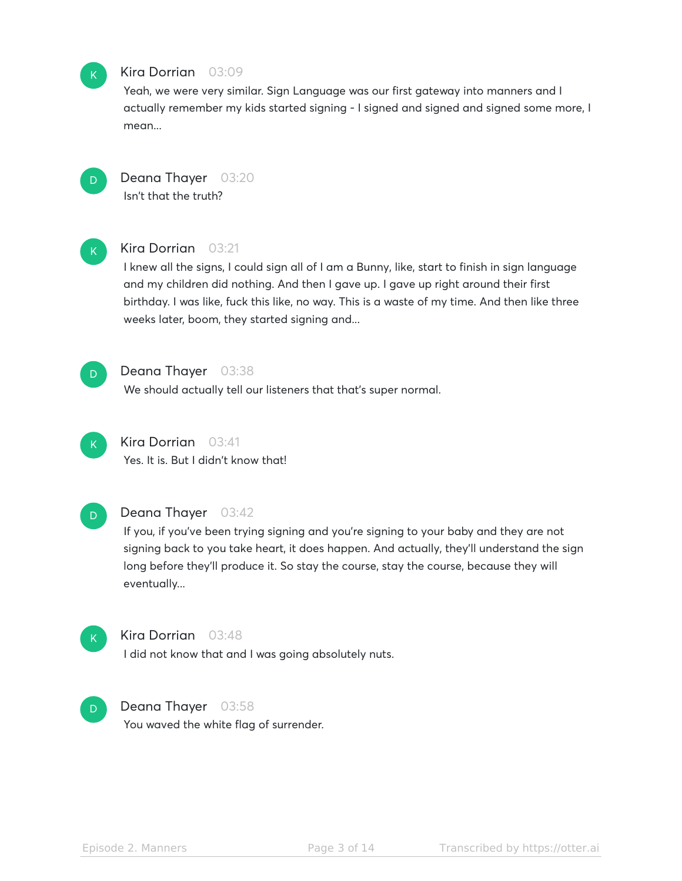

#### Kira Dorrian 03:09

Yeah, we were very similar. Sign Language was our first gateway into manners and I actually remember my kids started signing - I signed and signed and signed some more, I mean...



Deana Thayer 03:20 Isn't that the truth?



#### Kira Dorrian 03:21

I knew all the signs, I could sign all of I am a Bunny, like, start to finish in sign language and my children did nothing. And then I gave up. I gave up right around their first birthday. I was like, fuck this like, no way. This is a waste of my time. And then like three weeks later, boom, they started signing and...



#### Deana Thayer 03:38

We should actually tell our listeners that that's super normal.



## Kira Dorrian 03:41

Yes. It is. But I didn't know that!



#### Deana Thayer 03:42

If you, if you've been trying signing and you're signing to your baby and they are not signing back to you take heart, it does happen. And actually, they'll understand the sign long before they'll produce it. So stay the course, stay the course, because they will eventually...



#### Kira Dorrian 03:48

I did not know that and I was going absolutely nuts.

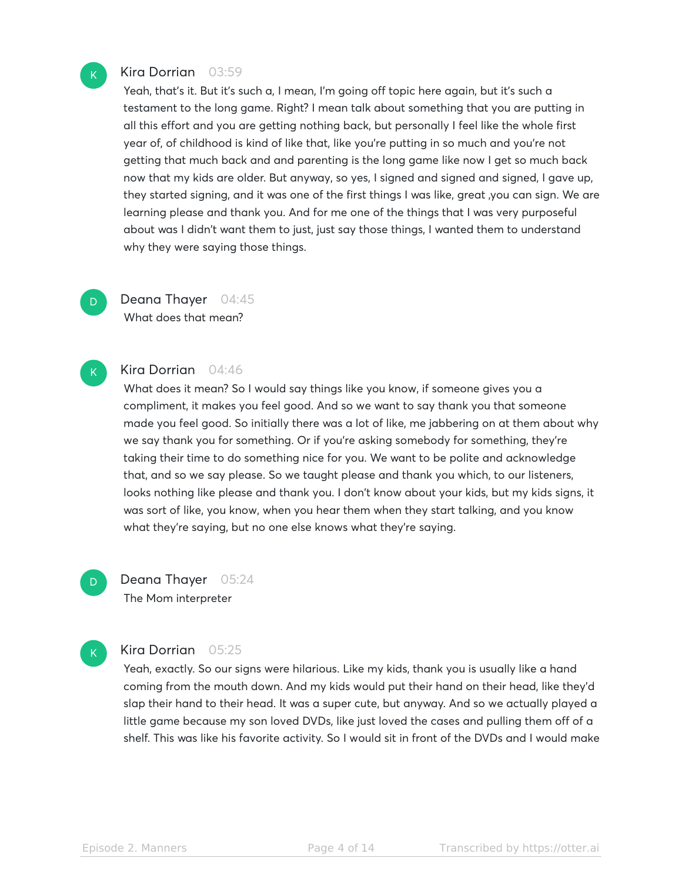#### Kira Dorrian 03:59

Yeah, that's it. But it's such a, I mean, I'm going off topic here again, but it's such a testament to the long game. Right? I mean talk about something that you are putting in all this effort and you are getting nothing back, but personally I feel like the whole first year of, of childhood is kind of like that, like you're putting in so much and you're not getting that much back and and parenting is the long game like now I get so much back now that my kids are older. But anyway, so yes, I signed and signed and signed, I gave up, they started signing, and it was one of the first things I was like, great ,you can sign. We are learning please and thank you. And for me one of the things that I was very purposeful about was I didn't want them to just, just say those things, I wanted them to understand why they were saying those things.

## Deana Thayer 04:45 What does that mean?

## K

D.

 $\mathsf{K}_{\scriptscriptstyle{+}}$ 

D

#### Kira Dorrian 04:46

What does it mean? So I would say things like you know, if someone gives you a compliment, it makes you feel good. And so we want to say thank you that someone made you feel good. So initially there was a lot of like, me jabbering on at them about why we say thank you for something. Or if you're asking somebody for something, they're taking their time to do something nice for you. We want to be polite and acknowledge that, and so we say please. So we taught please and thank you which, to our listeners, looks nothing like please and thank you. I don't know about your kids, but my kids signs, it was sort of like, you know, when you hear them when they start talking, and you know what they're saying, but no one else knows what they're saying.

Deana Thayer 05:24 The Mom interpreter

#### Kira Dorrian 05:25

Yeah, exactly. So our signs were hilarious. Like my kids, thank you is usually like a hand coming from the mouth down. And my kids would put their hand on their head, like they'd slap their hand to their head. It was a super cute, but anyway. And so we actually played a little game because my son loved DVDs, like just loved the cases and pulling them off of a shelf. This was like his favorite activity. So I would sit in front of the DVDs and I would make

 $\mathsf{K}_{\scriptscriptstyle{+}}$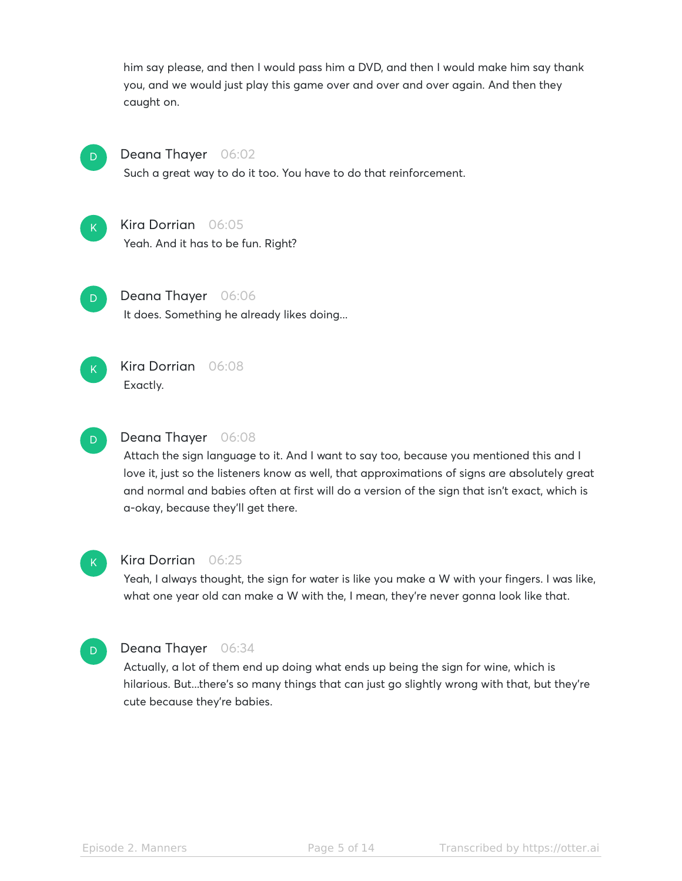him say please, and then I would pass him a DVD, and then I would make him say thank you, and we would just play this game over and over and over again. And then they caught on.



### Deana Thayer 06:02

Such a great way to do it too. You have to do that reinforcement.



## Kira Dorrian 06:05

Yeah. And it has to be fun. Right?



## Deana Thayer 06:06

It does. Something he already likes doing...



## Kira Dorrian 06:08 Exactly.



## Deana Thayer 06:08

Attach the sign language to it. And I want to say too, because you mentioned this and I love it, just so the listeners know as well, that approximations of signs are absolutely great and normal and babies often at first will do a version of the sign that isn't exact, which is a-okay, because they'll get there.



#### Kira Dorrian 06:25

Yeah, I always thought, the sign for water is like you make a W with your fingers. I was like, what one year old can make a W with the, I mean, they're never gonna look like that.



#### Deana Thayer 06:34

Actually, a lot of them end up doing what ends up being the sign for wine, which is hilarious. But...there's so many things that can just go slightly wrong with that, but they're cute because they're babies.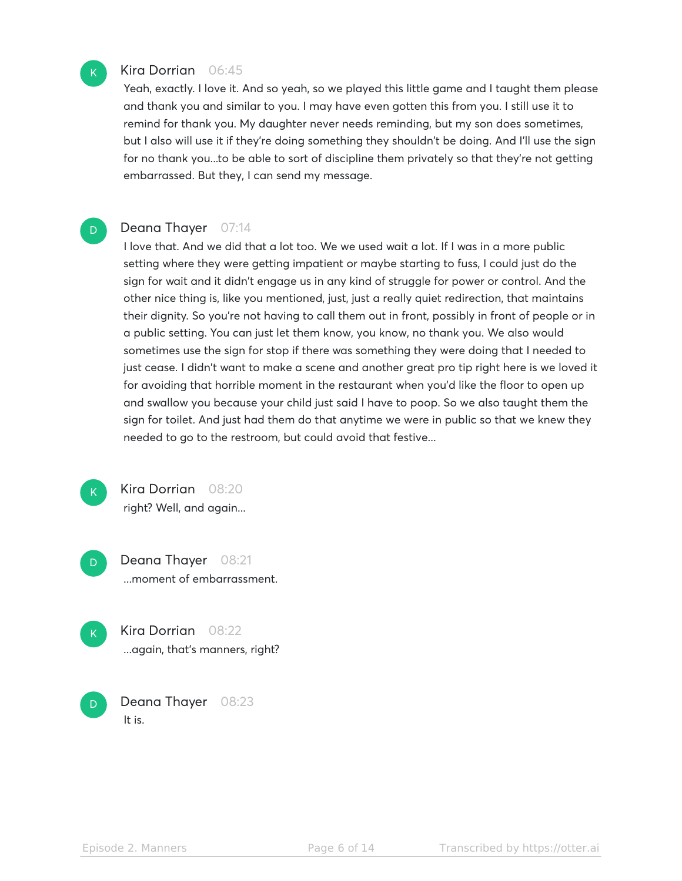

D.

#### Kira Dorrian 06:45

Yeah, exactly. I love it. And so yeah, so we played this little game and I taught them please and thank you and similar to you. I may have even gotten this from you. I still use it to remind for thank you. My daughter never needs reminding, but my son does sometimes, but I also will use it if they're doing something they shouldn't be doing. And I'll use the sign for no thank you...to be able to sort of discipline them privately so that they're not getting embarrassed. But they, I can send my message.

#### Deana Thayer 07:14

I love that. And we did that a lot too. We we used wait a lot. If I was in a more public setting where they were getting impatient or maybe starting to fuss, I could just do the sign for wait and it didn't engage us in any kind of struggle for power or control. And the other nice thing is, like you mentioned, just, just a really quiet redirection, that maintains their dignity. So you're not having to call them out in front, possibly in front of people or in a public setting. You can just let them know, you know, no thank you. We also would sometimes use the sign for stop if there was something they were doing that I needed to just cease. I didn't want to make a scene and another great pro tip right here is we loved it for avoiding that horrible moment in the restaurant when you'd like the floor to open up and swallow you because your child just said I have to poop. So we also taught them the sign for toilet. And just had them do that anytime we were in public so that we knew they needed to go to the restroom, but could avoid that festive...

 $\mathsf{K}_{\scriptscriptstyle{+}}$ 

Kira Dorrian 08:20 right? Well, and again...

Deana Thayer 08:21 ...moment of embarrassment. D

 $\mathsf{K}_{\scriptscriptstyle{+}}$ 

D

Kira Dorrian 08:22 ...again, that's manners, right?

Deana Thayer 08:23 It is.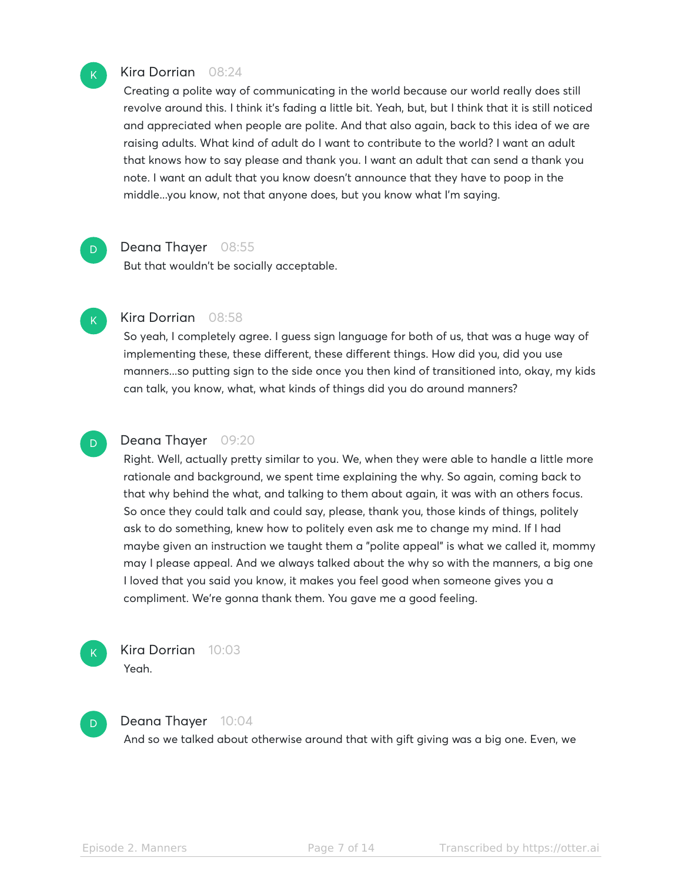

D

 $\mathsf{K}_{\scriptscriptstyle{+}}$ 

D

#### Kira Dorrian 08:24

Creating a polite way of communicating in the world because our world really does still revolve around this. I think it's fading a little bit. Yeah, but, but I think that it is still noticed and appreciated when people are polite. And that also again, back to this idea of we are raising adults. What kind of adult do I want to contribute to the world? I want an adult that knows how to say please and thank you. I want an adult that can send a thank you note. I want an adult that you know doesn't announce that they have to poop in the middle...you know, not that anyone does, but you know what I'm saying.

#### Deana Thayer 08:55

But that wouldn't be socially acceptable.

## Kira Dorrian 08:58

So yeah, I completely agree. I guess sign language for both of us, that was a huge way of implementing these, these different, these different things. How did you, did you use manners...so putting sign to the side once you then kind of transitioned into, okay, my kids can talk, you know, what, what kinds of things did you do around manners?

#### Deana Thayer 09:20

Right. Well, actually pretty similar to you. We, when they were able to handle a little more rationale and background, we spent time explaining the why. So again, coming back to that why behind the what, and talking to them about again, it was with an others focus. So once they could talk and could say, please, thank you, those kinds of things, politely ask to do something, knew how to politely even ask me to change my mind. If I had maybe given an instruction we taught them a "polite appeal" is what we called it, mommy may I please appeal. And we always talked about the why so with the manners, a big one I loved that you said you know, it makes you feel good when someone gives you a compliment. We're gonna thank them. You gave me a good feeling.



D

## Kira Dorrian 10:03

Yeah.

#### Deana Thayer 10:04

And so we talked about otherwise around that with gift giving was a big one. Even, we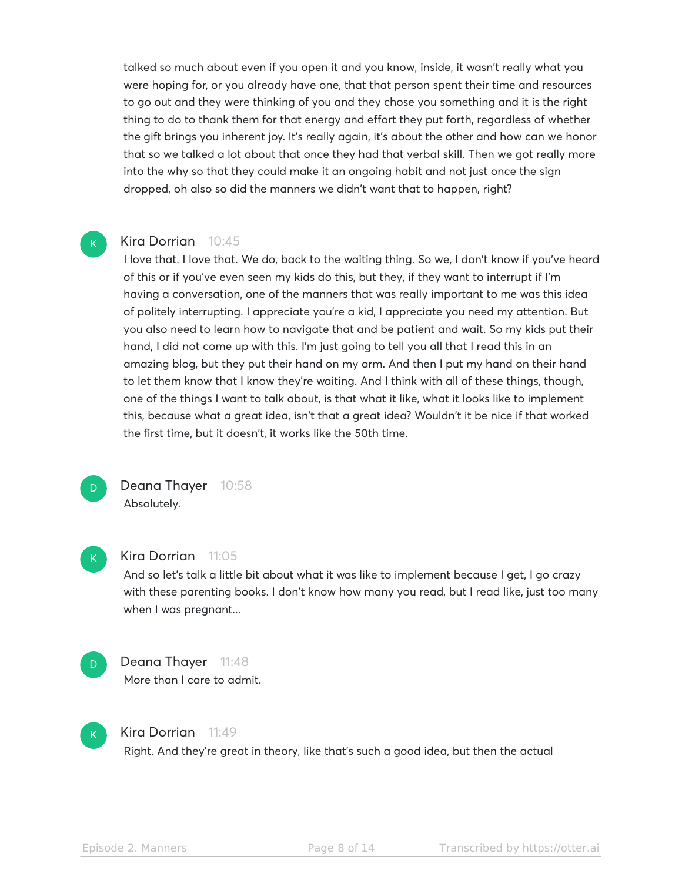talked so much about even if you open it and you know, inside, it wasn't really what you were hoping for, or you already have one, that that person spent their time and resources to go out and they were thinking of you and they chose you something and it is the right thing to do to thank them for that energy and effort they put forth, regardless of whether the gift brings you inherent joy. It's really again, it's about the other and how can we honor that so we talked a lot about that once they had that verbal skill. Then we got really more into the why so that they could make it an ongoing habit and not just once the sign dropped, oh also so did the manners we didn't want that to happen, right?

#### Kira Dorrian 10:45

I love that. I love that. We do, back to the waiting thing. So we, I don't know if you've heard of this or if you've even seen my kids do this, but they, if they want to interrupt if I'm having a conversation, one of the manners that was really important to me was this idea of politely interrupting. I appreciate you're a kid, I appreciate you need my attention. But you also need to learn how to navigate that and be patient and wait. So my kids put their hand, I did not come up with this. I'm just going to tell you all that I read this in an amazing blog, but they put their hand on my arm. And then I put my hand on their hand to let them know that I know they're waiting. And I think with all of these things, though, one of the things I want to talk about, is that what it like, what it looks like to implement this, because what a great idea, isn't that a great idea? Wouldn't it be nice if that worked the first time, but it doesn't, it works like the 50th time.

D

 $\mathsf{K}_{\scriptscriptstyle{+}}$ 

Deana Thayer 10:58 Absolutely.

 $\mathsf{K}_{\scriptscriptstyle{+}}$ 

#### Kira Dorrian 11:05

And so let's talk a little bit about what it was like to implement because I get, I go crazy with these parenting books. I don't know how many you read, but I read like, just too many when I was pregnant...



## Deana Thayer 11:48

More than I care to admit.



#### Kira Dorrian 11:49

Right. And they're great in theory, like that's such a good idea, but then the actual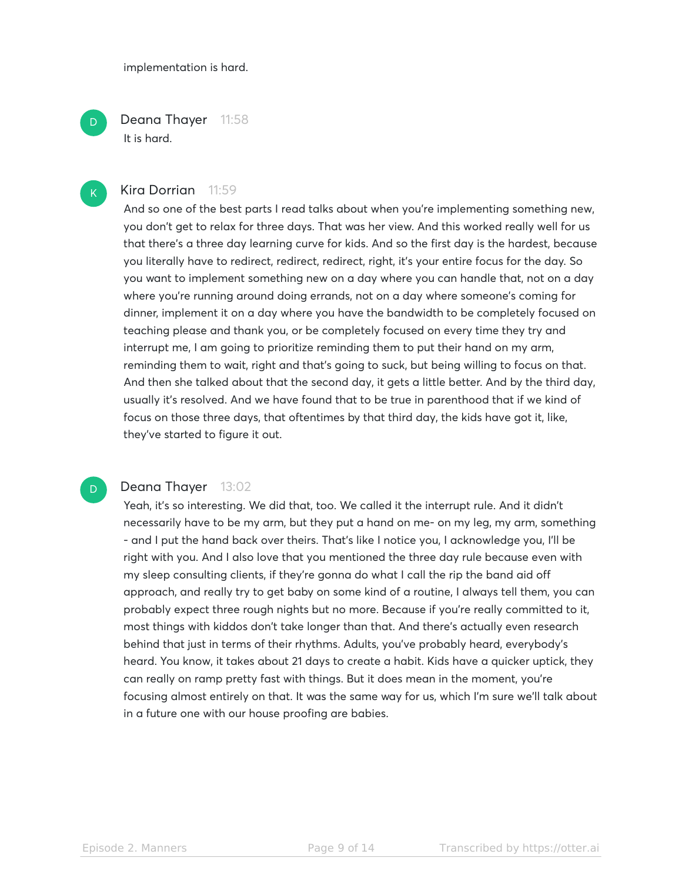implementation is hard.

Deana Thayer 11:58 It is hard.

#### Kira Dorrian 11:59

And so one of the best parts I read talks about when you're implementing something new, you don't get to relax for three days. That was her view. And this worked really well for us that there's a three day learning curve for kids. And so the first day is the hardest, because you literally have to redirect, redirect, redirect, right, it's your entire focus for the day. So you want to implement something new on a day where you can handle that, not on a day where you're running around doing errands, not on a day where someone's coming for dinner, implement it on a day where you have the bandwidth to be completely focused on teaching please and thank you, or be completely focused on every time they try and interrupt me, I am going to prioritize reminding them to put their hand on my arm, reminding them to wait, right and that's going to suck, but being willing to focus on that. And then she talked about that the second day, it gets a little better. And by the third day, usually it's resolved. And we have found that to be true in parenthood that if we kind of focus on those three days, that oftentimes by that third day, the kids have got it, like, they've started to figure it out.

## D

D

 $\mathsf{K}_{\scriptscriptstyle{+}}$ 

#### Deana Thayer 13:02

Yeah, it's so interesting. We did that, too. We called it the interrupt rule. And it didn't necessarily have to be my arm, but they put a hand on me- on my leg, my arm, something - and I put the hand back over theirs. That's like I notice you, I acknowledge you, I'll be right with you. And I also love that you mentioned the three day rule because even with my sleep consulting clients, if they're gonna do what I call the rip the band aid off approach, and really try to get baby on some kind of a routine, I always tell them, you can probably expect three rough nights but no more. Because if you're really committed to it, most things with kiddos don't take longer than that. And there's actually even research behind that just in terms of their rhythms. Adults, you've probably heard, everybody's heard. You know, it takes about 21 days to create a habit. Kids have a quicker uptick, they can really on ramp pretty fast with things. But it does mean in the moment, you're focusing almost entirely on that. It was the same way for us, which I'm sure we'll talk about in a future one with our house proofing are babies.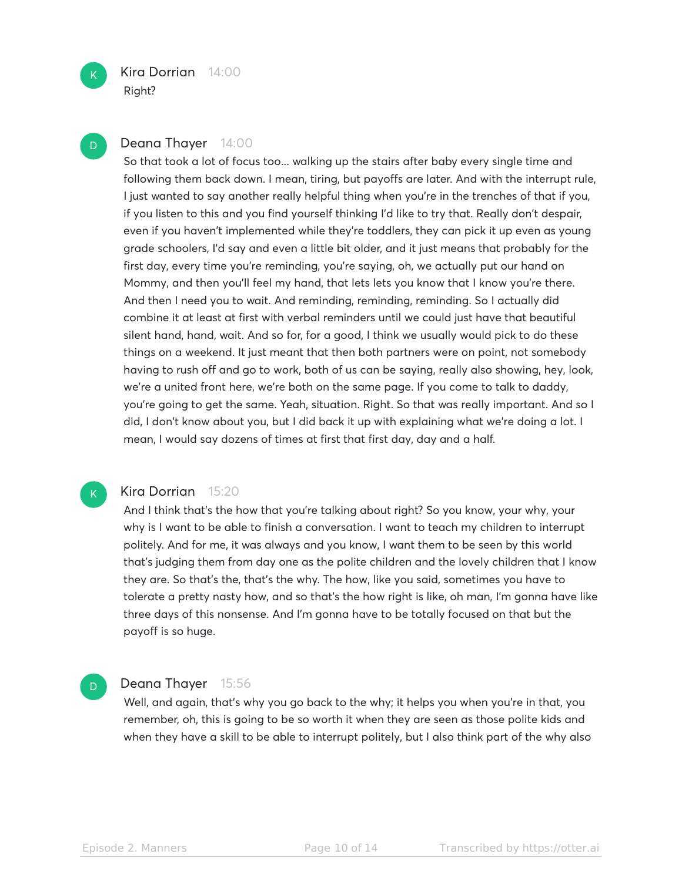

D

#### Deana Thayer 14:00

So that took a lot of focus too... walking up the stairs after baby every single time and following them back down. I mean, tiring, but payoffs are later. And with the interrupt rule, I just wanted to say another really helpful thing when you're in the trenches of that if you, if you listen to this and you find yourself thinking I'd like to try that. Really don't despair, even if you haven't implemented while they're toddlers, they can pick it up even as young grade schoolers, I'd say and even a little bit older, and it just means that probably for the first day, every time you're reminding, you're saying, oh, we actually put our hand on Mommy, and then you'll feel my hand, that lets lets you know that I know you're there. And then I need you to wait. And reminding, reminding, reminding. So I actually did combine it at least at first with verbal reminders until we could just have that beautiful silent hand, hand, wait. And so for, for a good, I think we usually would pick to do these things on a weekend. It just meant that then both partners were on point, not somebody having to rush off and go to work, both of us can be saying, really also showing, hey, look, we're a united front here, we're both on the same page. If you come to talk to daddy, you're going to get the same. Yeah, situation. Right. So that was really important. And so I did, I don't know about you, but I did back it up with explaining what we're doing a lot. I mean, I would say dozens of times at first that first day, day and a half.



D

#### Kira Dorrian 15:20

And I think that's the how that you're talking about right? So you know, your why, your why is I want to be able to finish a conversation. I want to teach my children to interrupt politely. And for me, it was always and you know, I want them to be seen by this world that's judging them from day one as the polite children and the lovely children that I know they are. So that's the, that's the why. The how, like you said, sometimes you have to tolerate a pretty nasty how, and so that's the how right is like, oh man, I'm gonna have like three days of this nonsense. And I'm gonna have to be totally focused on that but the payoff is so huge.

#### Deana Thayer 15:56

Well, and again, that's why you go back to the why; it helps you when you're in that, you remember, oh, this is going to be so worth it when they are seen as those polite kids and when they have a skill to be able to interrupt politely, but I also think part of the why also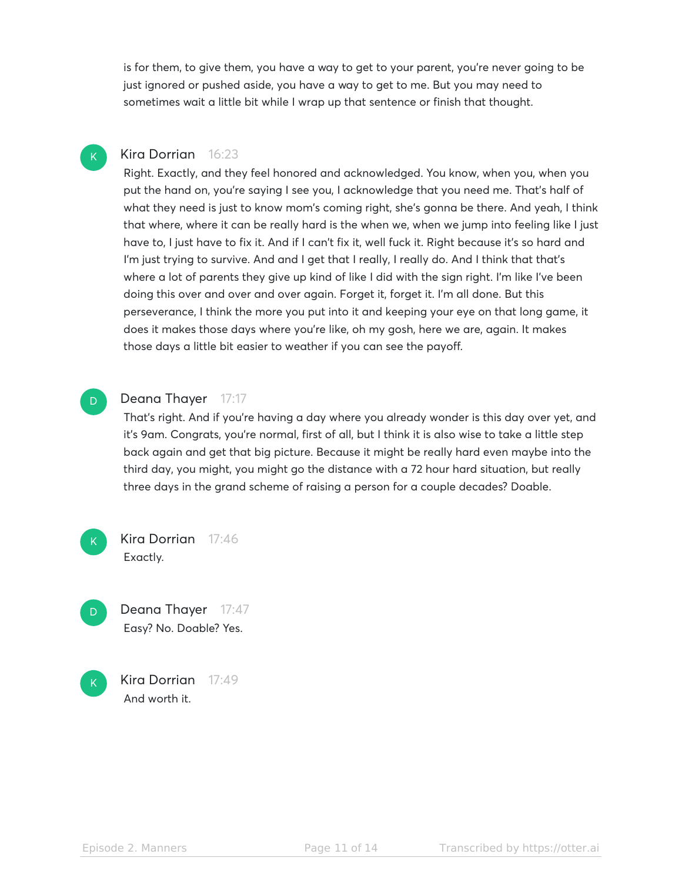is for them, to give them, you have a way to get to your parent, you're never going to be just ignored or pushed aside, you have a way to get to me. But you may need to sometimes wait a little bit while I wrap up that sentence or finish that thought.

## Kira Dorrian 16:23

Right. Exactly, and they feel honored and acknowledged. You know, when you, when you put the hand on, you're saying I see you, I acknowledge that you need me. That's half of what they need is just to know mom's coming right, she's gonna be there. And yeah, I think that where, where it can be really hard is the when we, when we jump into feeling like I just have to, I just have to fix it. And if I can't fix it, well fuck it. Right because it's so hard and I'm just trying to survive. And and I get that I really, I really do. And I think that that's where a lot of parents they give up kind of like I did with the sign right. I'm like I've been doing this over and over and over again. Forget it, forget it. I'm all done. But this perseverance, I think the more you put into it and keeping your eye on that long game, it does it makes those days where you're like, oh my gosh, here we are, again. It makes those days a little bit easier to weather if you can see the payoff.

## D

D

 $\mathsf{K}_{\scriptscriptstyle{+}}$ 

#### Deana Thayer 17:17

That's right. And if you're having a day where you already wonder is this day over yet, and it's 9am. Congrats, you're normal, first of all, but I think it is also wise to take a little step back again and get that big picture. Because it might be really hard even maybe into the third day, you might, you might go the distance with a 72 hour hard situation, but really three days in the grand scheme of raising a person for a couple decades? Doable.



Deana Thayer 17:47 Easy? No. Doable? Yes.

Kira Dorrian 17:49 And worth it.  $\mathsf{K}_{\scriptscriptstyle{+}}$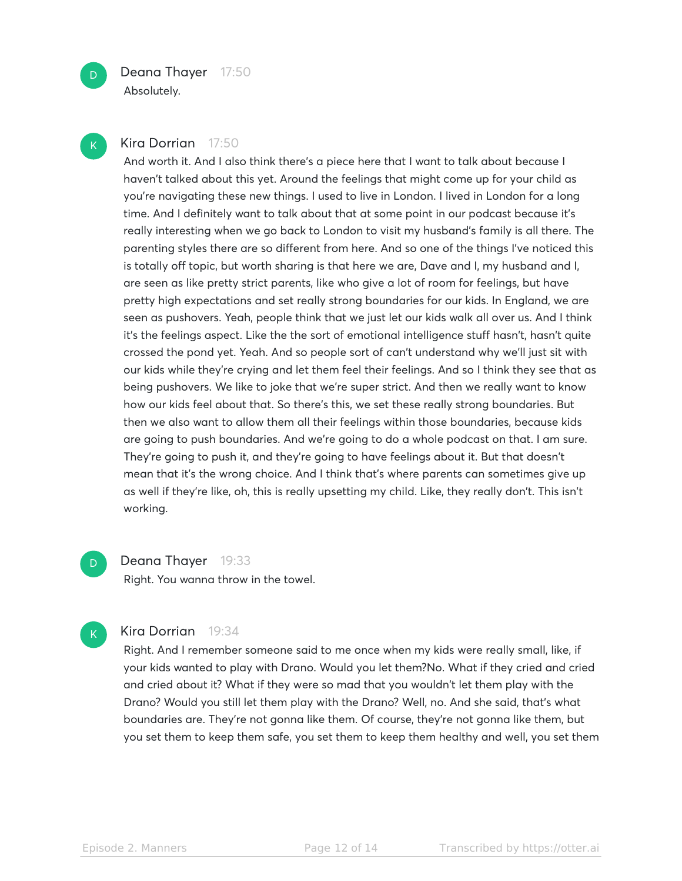

Absolutely.

#### Kira Dorrian 17:50

And worth it. And I also think there's a piece here that I want to talk about because I haven't talked about this yet. Around the feelings that might come up for your child as you're navigating these new things. I used to live in London. I lived in London for a long time. And I definitely want to talk about that at some point in our podcast because it's really interesting when we go back to London to visit my husband's family is all there. The parenting styles there are so different from here. And so one of the things I've noticed this is totally off topic, but worth sharing is that here we are, Dave and I, my husband and I, are seen as like pretty strict parents, like who give a lot of room for feelings, but have pretty high expectations and set really strong boundaries for our kids. In England, we are seen as pushovers. Yeah, people think that we just let our kids walk all over us. And I think it's the feelings aspect. Like the the sort of emotional intelligence stuff hasn't, hasn't quite crossed the pond yet. Yeah. And so people sort of can't understand why we'll just sit with our kids while they're crying and let them feel their feelings. And so I think they see that as being pushovers. We like to joke that we're super strict. And then we really want to know how our kids feel about that. So there's this, we set these really strong boundaries. But then we also want to allow them all their feelings within those boundaries, because kids are going to push boundaries. And we're going to do a whole podcast on that. I am sure. They're going to push it, and they're going to have feelings about it. But that doesn't mean that it's the wrong choice. And I think that's where parents can sometimes give up as well if they're like, oh, this is really upsetting my child. Like, they really don't. This isn't working.

Deana Thayer 19:33 Right. You wanna throw in the towel.

 $\mathsf{K}_{\scriptscriptstyle{+}}$ 

D

#### Kira Dorrian 19:34

Right. And I remember someone said to me once when my kids were really small, like, if your kids wanted to play with Drano. Would you let them?No. What if they cried and cried and cried about it? What if they were so mad that you wouldn't let them play with the Drano? Would you still let them play with the Drano? Well, no. And she said, that's what boundaries are. They're not gonna like them. Of course, they're not gonna like them, but you set them to keep them safe, you set them to keep them healthy and well, you set them

 $\mathsf{K}_{\scriptscriptstyle{+}}$ 

 $\overline{D}$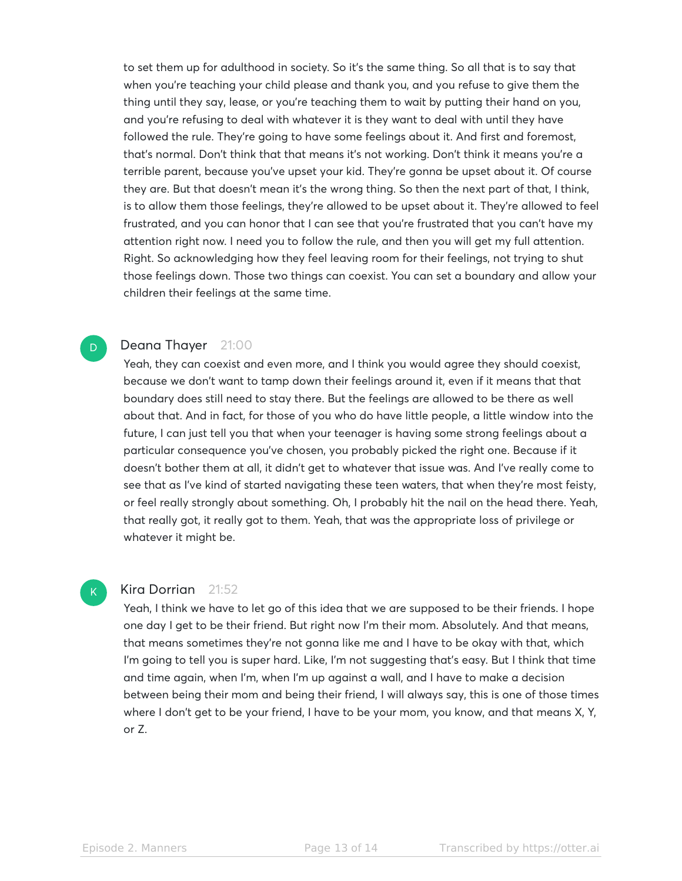to set them up for adulthood in society. So it's the same thing. So all that is to say that when you're teaching your child please and thank you, and you refuse to give them the thing until they say, lease, or you're teaching them to wait by putting their hand on you, and you're refusing to deal with whatever it is they want to deal with until they have followed the rule. They're going to have some feelings about it. And first and foremost, that's normal. Don't think that that means it's not working. Don't think it means you're a terrible parent, because you've upset your kid. They're gonna be upset about it. Of course they are. But that doesn't mean it's the wrong thing. So then the next part of that, I think, is to allow them those feelings, they're allowed to be upset about it. They're allowed to feel frustrated, and you can honor that I can see that you're frustrated that you can't have my attention right now. I need you to follow the rule, and then you will get my full attention. Right. So acknowledging how they feel leaving room for their feelings, not trying to shut those feelings down. Those two things can coexist. You can set a boundary and allow your children their feelings at the same time.

#### Deana Thayer 21:00

Yeah, they can coexist and even more, and I think you would agree they should coexist, because we don't want to tamp down their feelings around it, even if it means that that boundary does still need to stay there. But the feelings are allowed to be there as well about that. And in fact, for those of you who do have little people, a little window into the future, I can just tell you that when your teenager is having some strong feelings about a particular consequence you've chosen, you probably picked the right one. Because if it doesn't bother them at all, it didn't get to whatever that issue was. And I've really come to see that as I've kind of started navigating these teen waters, that when they're most feisty, or feel really strongly about something. Oh, I probably hit the nail on the head there. Yeah, that really got, it really got to them. Yeah, that was the appropriate loss of privilege or whatever it might be.

#### $\mathsf{K}_{\scriptscriptstyle{+}}$

D

#### Kira Dorrian 21:52

Yeah, I think we have to let go of this idea that we are supposed to be their friends. I hope one day I get to be their friend. But right now I'm their mom. Absolutely. And that means, that means sometimes they're not gonna like me and I have to be okay with that, which I'm going to tell you is super hard. Like, I'm not suggesting that's easy. But I think that time and time again, when I'm, when I'm up against a wall, and I have to make a decision between being their mom and being their friend, I will always say, this is one of those times where I don't get to be your friend, I have to be your mom, you know, and that means X, Y, or Z.